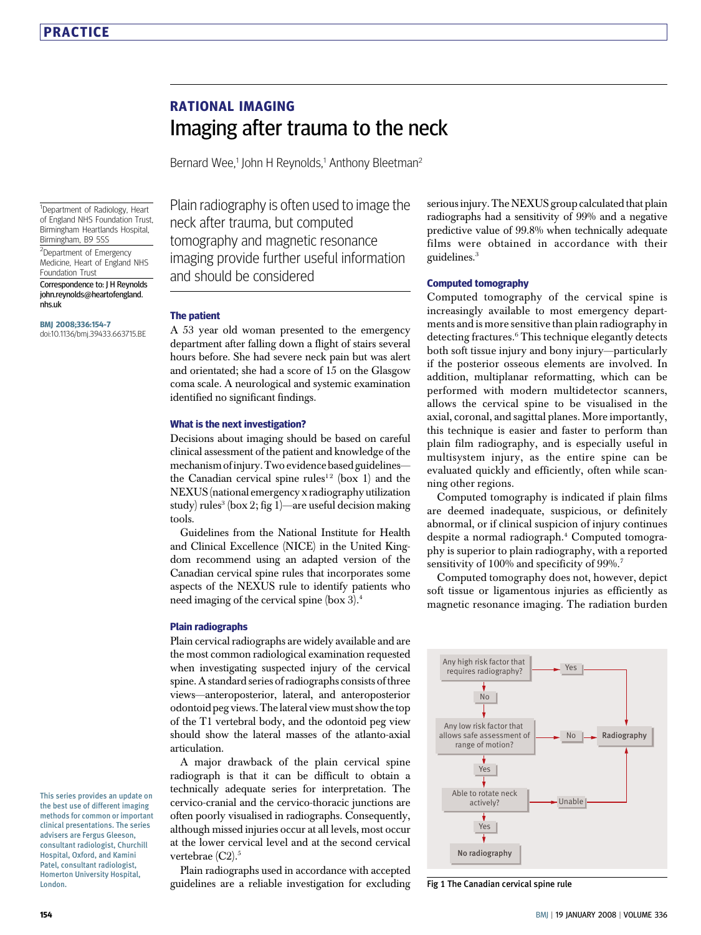# RATIONAL IMAGING Imaging after trauma to the neck

Bernard Wee,<sup>1</sup> John H Reynolds,<sup>1</sup> Anthony Bleetman<sup>2</sup>

<sup>1</sup>Department of Radiology, Heart of England NHS Foundation Trust, Birmingham Heartlands Hospital, Birmingham, B9 5SS

<sup>2</sup>Department of Emergency Medicine, Heart of England NHS Foundation Trust

Correspondence to: J H Reynolds john.reynolds@heartofengland. nhs.uk

BMJ 2008;336:154-7 doi:10.1136/bmj.39433.663715.BE Plain radiography is often used to image the neck after trauma, but computed tomography and magnetic resonance imaging provide further useful information and should be considered

#### The patient

A 53 year old woman presented to the emergency department after falling down a flight of stairs several hours before. She had severe neck pain but was alert and orientated; she had a score of 15 on the Glasgow coma scale. A neurological and systemic examination identified no significant findings.

#### What is the next investigation?

Decisions about imaging should be based on careful clinical assessment of the patient and knowledge of the mechanism of injury.Two evidence based guidelines the Canadian cervical spine rules<sup>12</sup> (box 1) and the NEXUS(national emergency x radiography utilization study) rules<sup>3</sup> (box 2; fig 1)—are useful decision making tools.

Guidelines from the National Institute for Health and Clinical Excellence (NICE) in the United Kingdom recommend using an adapted version of the Canadian cervical spine rules that incorporates some aspects of the NEXUS rule to identify patients who need imaging of the cervical spine (box 3).<sup>4</sup>

#### Plain radiographs

Plain cervical radiographs are widely available and are the most common radiological examination requested when investigating suspected injury of the cervical spine. A standard series of radiographs consists of three views—anteroposterior, lateral, and anteroposterior odontoid peg views. The lateral view must showthetop of the T1 vertebral body, and the odontoid peg view should show the lateral masses of the atlanto-axial articulation.

A major drawback of the plain cervical spine radiograph is that it can be difficult to obtain a technically adequate series for interpretation. The cervico-cranial and the cervico-thoracic junctions are often poorly visualised in radiographs. Consequently, although missed injuries occur at all levels, most occur at the lower cervical level and at the second cervical vertebrae (C2).<sup>5</sup>

Plain radiographs used in accordance with accepted guidelines are a reliable investigation for excluding serious injury. The NEXUS group calculated that plain radiographs had a sensitivity of 99% and a negative predictive value of 99.8% when technically adequate films were obtained in accordance with their guidelines.<sup>3</sup>

#### Computed tomography

Computed tomography of the cervical spine is increasingly available to most emergency departments and is more sensitive than plain radiography in detecting fractures.<sup>6</sup> This technique elegantly detects both soft tissue injury and bony injury—particularly if the posterior osseous elements are involved. In addition, multiplanar reformatting, which can be performed with modern multidetector scanners, allows the cervical spine to be visualised in the axial, coronal, and sagittal planes. More importantly, this technique is easier and faster to perform than plain film radiography, and is especially useful in multisystem injury, as the entire spine can be evaluated quickly and efficiently, often while scanning other regions.

Computed tomography is indicated if plain films are deemed inadequate, suspicious, or definitely abnormal, or if clinical suspicion of injury continues despite a normal radiograph.<sup>4</sup> Computed tomography is superior to plain radiography, with a reported sensitivity of 100% and specificity of 99%.<sup>7</sup>

Computed tomography does not, however, depict soft tissue or ligamentous injuries as efficiently as magnetic resonance imaging. The radiation burden



Fig 1 The Canadian cervical spine rule

This series provides an update on the best use of different imaging methods for common or important clinical presentations. The series advisers are Fergus Gleeson, consultant radiologist, Churchill Hospital, Oxford, and Kamini Patel, consultant radiologist, Homerton University Hospital, **London**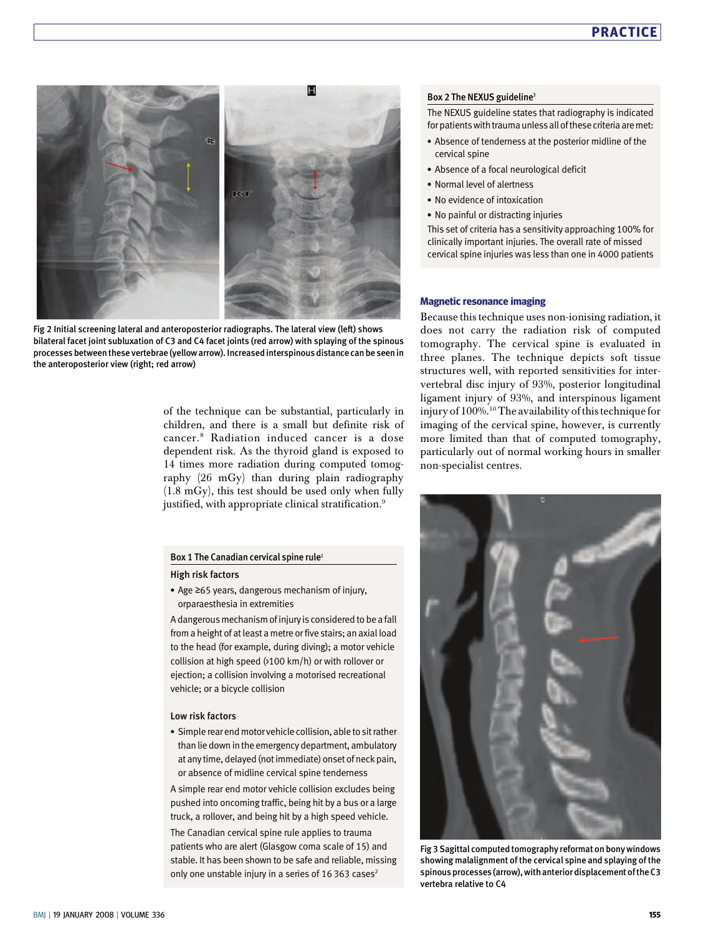

Fig 2 Initial screening lateral and anteroposterior radiographs. The lateral view (left) shows bilateral facet joint subluxation of C3 and C4 facet joints (red arrow) with splaying of the spinous processes between these vertebrae (yellow arrow). Increased interspinous distance can be seenin the anteroposterior view (right; red arrow)

of the technique can be substantial, particularly in children, and there is a small but definite risk of cancer.<sup>8</sup> Radiation induced cancer is a dose dependent risk. As the thyroid gland is exposed to 14 times more radiation during computed tomography (26 mGy) than during plain radiography (1.8 mGy), this test should be used only when fully justified, with appropriate clinical stratification.<sup>9</sup>

#### Box 1 The Canadian cervical spine rule<sup>1</sup>

#### High risk factors

 Age ≥65 years, dangerous mechanism of injury, orparaesthesia in extremities

A dangerous mechanism of injury is considered to be afall from a height of at least a metre or five stairs; an axial load to the head (for example, during diving); a motor vehicle collision at high speed (>100 km/h) or with rollover or ejection; a collision involving a motorised recreational vehicle; or a bicycle collision

#### Low risk factors

 Simple rear end motor vehicle collision, able to sit rather than lie down in the emergency department, ambulatory at any time, delayed (not immediate) onset of neck pain, or absence of midline cervical spine tenderness

A simple rear end motor vehicle collision excludes being pushed into oncoming traffic, being hit by a bus or a large truck, a rollover, and being hit by a high speed vehicle. The Canadian cervical spine rule applies to trauma patients who are alert (Glasgow coma scale of 15) and stable. It has been shown to be safe and reliable, missing only one unstable injury in a series of 16 363 cases<sup>2</sup>

#### Box 2 The NEXUS guideline<sup>3</sup>

The NEXUS guideline states that radiography is indicated for patients with trauma unless all of these criteria are met:

- Absence of tenderness at the posterior midline of the cervical spine
- Absence of a focal neurological deficit
- Normal level of alertness
- No evidence of intoxication
- No painful or distracting injuries

This set of criteria has a sensitivity approaching 100% for clinically important injuries. The overall rate of missed cervical spine injuries was less than one in 4000 patients

#### Magnetic resonance imaging

Because this technique uses non-ionising radiation, it does not carry the radiation risk of computed tomography. The cervical spine is evaluated in three planes. The technique depicts soft tissue structures well, with reported sensitivities for intervertebral disc injury of 93%, posterior longitudinal ligament injury of 93%, and interspinous ligament injury of 100%.<sup>10</sup> The availability of this technique for imaging of the cervical spine, however, is currently more limited than that of computed tomography, particularly out of normal working hours in smaller non-specialist centres.



Fig 3 Sagittal computed tomography reformat on bony windows showing malalignment of the cervical spine and splaying of the spinous processes (arrow),with anterior displacement of the C3 vertebra relative to C4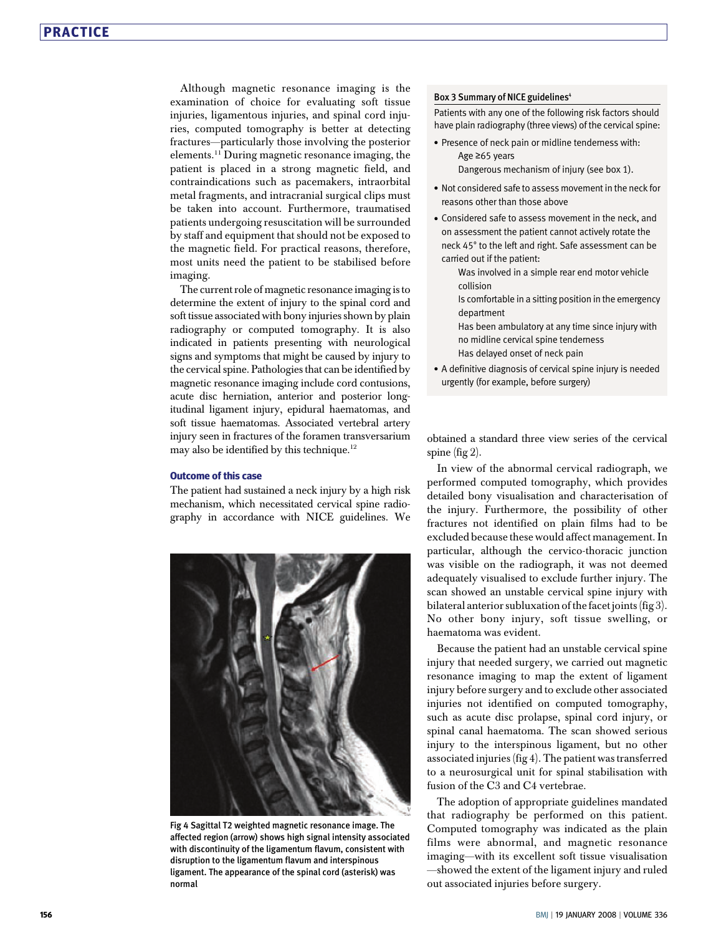Although magnetic resonance imaging is the examination of choice for evaluating soft tissue injuries, ligamentous injuries, and spinal cord injuries, computed tomography is better at detecting fractures—particularly those involving the posterior elements.<sup>11</sup> During magnetic resonance imaging, the patient is placed in a strong magnetic field, and contraindications such as pacemakers, intraorbital metal fragments, and intracranial surgical clips must be taken into account. Furthermore, traumatised patients undergoing resuscitation will be surrounded by staff and equipment that should not be exposed to the magnetic field. For practical reasons, therefore, most units need the patient to be stabilised before imaging.

The current role of magnetic resonance imaging is to determine the extent of injury to the spinal cord and soft tissue associated with bony injuries shown by plain radiography or computed tomography. It is also indicated in patients presenting with neurological signs and symptoms that might be caused by injury to the cervical spine. Pathologies that can be identified by magnetic resonance imaging include cord contusions, acute disc herniation, anterior and posterior longitudinal ligament injury, epidural haematomas, and soft tissue haematomas. Associated vertebral artery injury seen in fractures of the foramen transversarium may also be identified by this technique.<sup>12</sup>

#### Outcome of this case

The patient had sustained a neck injury by a high risk mechanism, which necessitated cervical spine radiography in accordance with NICE guidelines. We



Fig 4 Sagittal T2 weighted magnetic resonance image. The affected region (arrow) shows high signal intensity associated with discontinuity of the ligamentum flavum, consistent with disruption to the ligamentum flavum and interspinous ligament. The appearance of the spinal cord (asterisk) was normal

#### Box 3 Summary of NICE guidelines<sup>4</sup>

Patients with any one of the following risk factors should have plain radiography (three views) of the cervical spine:

 Presence of neck pain or midline tenderness with: Age ≥65 years

Dangerous mechanism of injury (see box 1).

- Not considered safe to assess movement in the neck for reasons other than those above
- Considered safe to assess movement in the neck, and on assessment the patient cannot actively rotate the neck 45° to the left and right. Safe assessment can be carried out if the patient:

Was involved in a simple rear end motor vehicle collision

Is comfortable in a sitting position in the emergency department

Has been ambulatory at any time since injury with no midline cervical spine tenderness Has delayed onset of neck pain

 A definitive diagnosis of cervical spine injury is needed urgently (for example, before surgery)

obtained a standard three view series of the cervical spine (fig 2).

In view of the abnormal cervical radiograph, we performed computed tomography, which provides detailed bony visualisation and characterisation of the injury. Furthermore, the possibility of other fractures not identified on plain films had to be excluded because these would affect management. In particular, although the cervico-thoracic junction was visible on the radiograph, it was not deemed adequately visualised to exclude further injury. The scan showed an unstable cervical spine injury with bilateral anterior subluxation of the facet joints (fig 3). No other bony injury, soft tissue swelling, or haematoma was evident.

Because the patient had an unstable cervical spine injury that needed surgery, we carried out magnetic resonance imaging to map the extent of ligament injury before surgery and to exclude other associated injuries not identified on computed tomography, such as acute disc prolapse, spinal cord injury, or spinal canal haematoma. The scan showed serious injury to the interspinous ligament, but no other associated injuries (fig 4). The patient was transferred to a neurosurgical unit for spinal stabilisation with fusion of the C3 and C4 vertebrae.

The adoption of appropriate guidelines mandated that radiography be performed on this patient. Computed tomography was indicated as the plain films were abnormal, and magnetic resonance imaging—with its excellent soft tissue visualisation —showed the extent of the ligament injury and ruled out associated injuries before surgery.